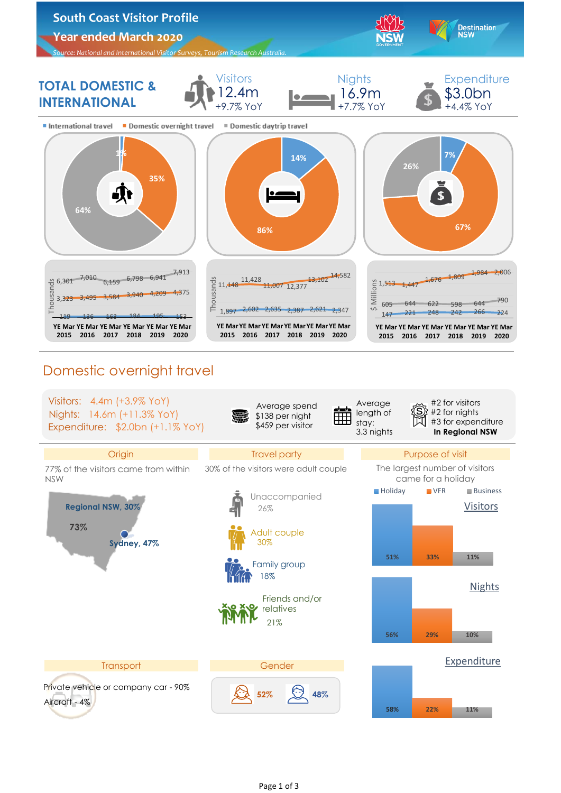

## Domestic overnight travel

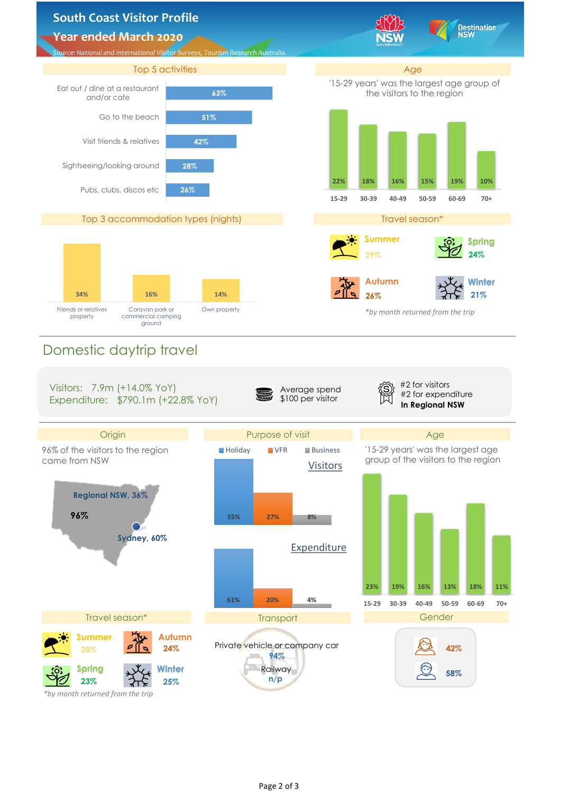## **South Coast Visitor Profile**

## **Year ended March 2020**



## Domestic daytrip travel